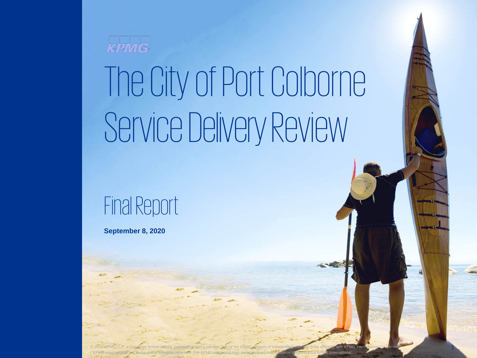

# The City of Port Colborne Service Delivery Review

Final Report

**September 8, 2020**

© 2020 KPMG LLP, a Canadian limited liability partnership and a member firm of the KPMG network of independent member firms affiliated with KPMG International Cooperative 1999 and 1999 and 1999 and 1999 and 1999 and 1999 a ("KPMG International"), a Swiss entity. All rights reserved. The KPMG name and logo are registered trademarks or trademarks of KPMG International.

("KPMG International"), a Swiss entity. All rights reserved. The KPMG name and logo are registered trademarks or trademarks of KPMG International.

1 © 2020 KPMG LLP, a Canadian limited liability partnership and a member firm of the KPMG network of independent member firms affiliated with KPMG International Cooperative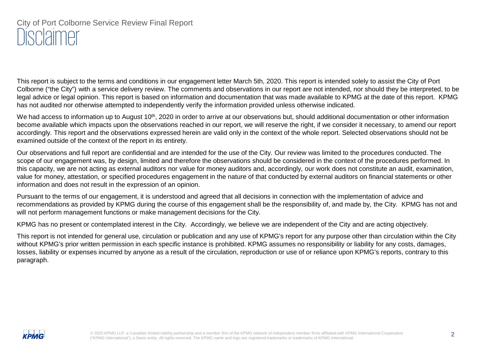## City of Port Colborne Service Review Final Report Disclaimer

This report is subject to the terms and conditions in our engagement letter March 5th, 2020. This report is intended solely to assist the City of Port Colborne ("the City") with a service delivery review. The comments and observations in our report are not intended, nor should they be interpreted, to be legal advice or legal opinion. This report is based on information and documentation that was made available to KPMG at the date of this report. KPMG has not audited nor otherwise attempted to independently verify the information provided unless otherwise indicated.

We had access to information up to August  $10<sup>th</sup>$ , 2020 in order to arrive at our observations but, should additional documentation or other information become available which impacts upon the observations reached in our report, we will reserve the right, if we consider it necessary, to amend our report accordingly. This report and the observations expressed herein are valid only in the context of the whole report. Selected observations should not be examined outside of the context of the report in its entirety.

Our observations and full report are confidential and are intended for the use of the City. Our review was limited to the procedures conducted. The scope of our engagement was, by design, limited and therefore the observations should be considered in the context of the procedures performed. In this capacity, we are not acting as external auditors nor value for money auditors and, accordingly, our work does not constitute an audit, examination, value for money, attestation, or specified procedures engagement in the nature of that conducted by external auditors on financial statements or other information and does not result in the expression of an opinion.

Pursuant to the terms of our engagement, it is understood and agreed that all decisions in connection with the implementation of advice and recommendations as provided by KPMG during the course of this engagement shall be the responsibility of, and made by, the City. KPMG has not and will not perform management functions or make management decisions for the City.

KPMG has no present or contemplated interest in the City. Accordingly, we believe we are independent of the City and are acting objectively.

This report is not intended for general use, circulation or publication and any use of KPMG's report for any purpose other than circulation within the City without KPMG's prior written permission in each specific instance is prohibited. KPMG assumes no responsibility or liability for any costs, damages, losses, liability or expenses incurred by anyone as a result of the circulation, reproduction or use of or reliance upon KPMG's reports, contrary to this paragraph.

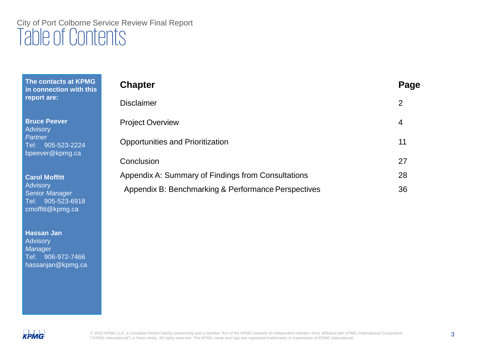# City of Port Colborne Service Review Final Report Table of Contents

**The contacts at KPMG in connection with this report are:**

**Bruce Peever Advisory** *Partner* Tel: 905-523-2224 bpeever@kpmg.ca

**Carol Moffitt Advisory** Senior *Manager* Tel: 905-523-6918 cmoffitt@kpmg.ca

**Hassan Jan Advisory** *Manager* Tel: 906-972-7466 hassanjan@kpmg.ca

| <b>Chapter</b>                                      | Page |
|-----------------------------------------------------|------|
| <b>Disclaimer</b>                                   | 2    |
| <b>Project Overview</b>                             | 4    |
| <b>Opportunities and Prioritization</b>             | 11   |
| Conclusion                                          | 27   |
| Appendix A: Summary of Findings from Consultations  | 28   |
| Appendix B: Benchmarking & Performance Perspectives | 36   |

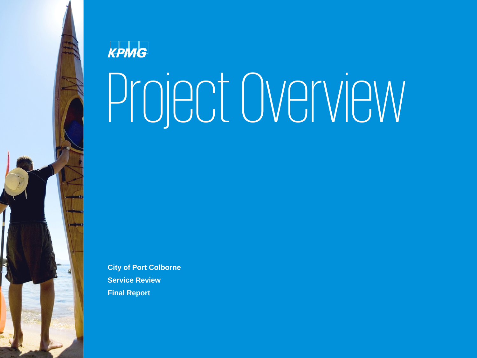

# Project Overview

**City of Port Colborne Service Review Final Report**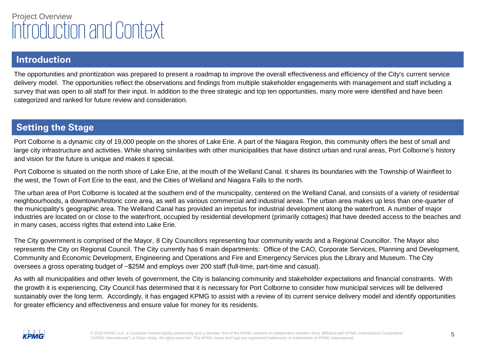## Project Overview Introduction and Context

### **Introduction**

The opportunities and prioritization was prepared to present a roadmap to improve the overall effectiveness and efficiency of the City's current service delivery model. The opportunities reflect the observations and findings from multiple stakeholder engagements with management and staff including a survey that was open to all staff for their input. In addition to the three strategic and top ten opportunities, many more were identified and have been categorized and ranked for future review and consideration.

### **Setting the Stage**

Port Colborne is a dynamic city of 19,000 people on the shores of Lake Erie. A part of the Niagara Region, this community offers the best of small and large city infrastructure and activities. While sharing similarities with other municipalities that have distinct urban and rural areas, Port Colborne's history and vision for the future is unique and makes it special.

Port Colborne is situated on the north shore of Lake Erie, at the mouth of the Welland Canal. It shares its boundaries with the Township of Wainfleet to the west, the Town of Fort Erie to the east, and the Cities of Welland and Niagara Falls to the north.

The urban area of Port Colborne is located at the southern end of the municipality, centered on the Welland Canal, and consists of a variety of residential neighbourhoods, a downtown/historic core area, as well as various commercial and industrial areas. The urban area makes up less than one-quarter of the municipality's geographic area. The Welland Canal has provided an impetus for industrial development along the waterfront. A number of major industries are located on or close to the waterfront, occupied by residential development (primarily cottages) that have deeded access to the beaches and in many cases, access rights that extend into Lake Erie.

The City government is comprised of the Mayor, 8 City Councillors representing four community wards and a Regional Councillor. The Mayor also represents the City on Regional Council. The City currently has 6 main departments: Office of the CAO, Corporate Services, Planning and Development, Community and Economic Development, Engineering and Operations and Fire and Emergency Services plus the Library and Museum. The City oversees a gross operating budget of ~\$25M and employs over 200 staff (full-time, part-time and casual).

As with all municipalities and other levels of government, the City is balancing community and stakeholder expectations and financial constraints. With the growth it is experiencing, City Council has determined that it is necessary for Port Colborne to consider how municipal services will be delivered sustainably over the long term. Accordingly, it has engaged KPMG to assist with a review of its current service delivery model and identify opportunities for greater efficiency and effectiveness and ensure value for money for its residents.

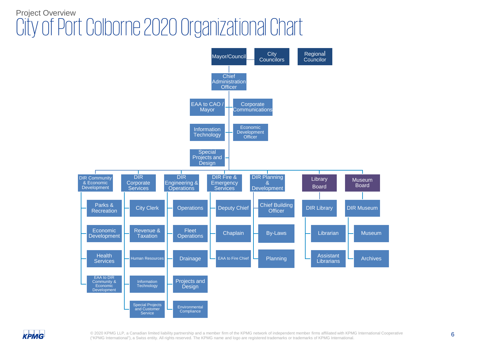# Project Overview City of Port Colborne 2020 Organizational Chart



**KPMG** 

© 2020 KPMG LLP, a Canadian limited liability partnership and a member firm of the KPMG network of independent member firms affiliated with KPMG International Cooperative 6 ("KPMG International"), a Swiss entity. All rights reserved. The KPMG name and logo are registered trademarks or trademarks of KPMG International.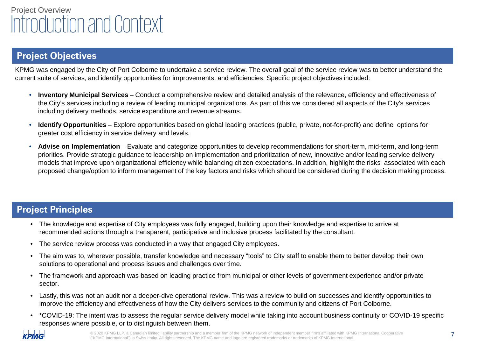# Project Overview Introduction and Context

### **Project Objectives**

KPMG was engaged by the City of Port Colborne to undertake a service review. The overall goal of the service review was to better understand the current suite of services, and identify opportunities for improvements, and efficiencies. Specific project objectives included:

- **Inventory Municipal Services**  Conduct a comprehensive review and detailed analysis of the relevance, efficiency and effectiveness of the City's services including a review of leading municipal organizations. As part of this we considered all aspects of the City's services including delivery methods, service expenditure and revenue streams.
- **Identify Opportunities**  Explore opportunities based on global leading practices (public, private, not-for-profit) and define options for greater cost efficiency in service delivery and levels.
- Advise on Implementation Evaluate and categorize opportunities to develop recommendations for short-term, mid-term, and long-term priorities. Provide strategic guidance to leadership on implementation and prioritization of new, innovative and/or leading service delivery models that improve upon organizational efficiency while balancing citizen expectations. In addition, highlight the risks associated with each proposed change/option to inform management of the key factors and risks which should be considered during the decision making process.

### **Project Principles**

- The knowledge and expertise of City employees was fully engaged, building upon their knowledge and expertise to arrive at recommended actions through a transparent, participative and inclusive process facilitated by the consultant.
- The service review process was conducted in a way that engaged City employees.
- The aim was to, wherever possible, transfer knowledge and necessary "tools" to City staff to enable them to better develop their own solutions to operational and process issues and challenges over time.
- The framework and approach was based on leading practice from municipal or other levels of government experience and/or private sector.
- Lastly, this was not an audit nor a deeper-dive operational review. This was a review to build on successes and identify opportunities to improve the efficiency and effectiveness of how the City delivers services to the community and citizens of Port Colborne.
- \*COVID-19: The intent was to assess the regular service delivery model while taking into account business continuity or COVID-19 specific responses where possible, or to distinguish between them.



© 2020 KPMG LLP, a Canadian limited liability partnership and a member firm of the KPMG network of independent member firms affiliated with KPMG International Cooperative 7 ("KPMG International"), a Swiss entity. All rights reserved. The KPMG name and logo are registered trademarks or trademarks of KPMG International.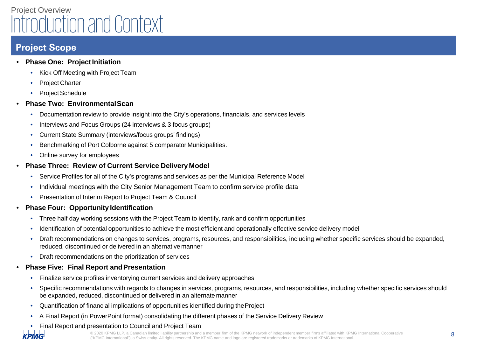# Project Overview Introduction and Context

### **Project Scope**

**KPMG** 

- **Phase One: ProjectInitiation**
	- Kick Off Meeting with Project Team
	- Project Charter
	- **Project Schedule**
- **Phase Two: EnvironmentalScan**
	- Documentation review to provide insight into the City's operations, financials, and services levels
	- Interviews and Focus Groups (24 interviews & 3 focus groups)
	- Current State Summary (interviews/focus groups' findings)
	- Benchmarking of Port Colborne against 5 comparator Municipalities.
	- Online survey for employees
- **Phase Three: Review of Current Service Delivery Model**
	- Service Profiles for all of the City's programs and services as per the Municipal Reference Model
	- Individual meetings with the City Senior Management Team to confirm service profile data
	- Presentation of Interim Report to Project Team & Council
- **Phase Four: Opportunity Identification**
	- Three half day working sessions with the Project Team to identify, rank and confirm opportunities
	- Identification of potential opportunities to achieve the most efficient and operationally effective service delivery model
	- Draft recommendations on changes to services, programs, resources, and responsibilities, including whether specific services should be expanded, reduced, discontinued or delivered in an alternative manner
	- Draft recommendations on the prioritization of services
- **Phase Five: Final Report andPresentation**
	- Finalize service profiles inventorying current services and delivery approaches
	- Specific recommendations with regards to changes in services, programs, resources, and responsibilities, including whether specific services should be expanded, reduced, discontinued or delivered in an alternate manner
	- Quantification of financial implications of opportunities identified during theProject
	- A Final Report (in PowerPoint format) consolidating the different phases of the Service Delivery Review
	- Final Report and presentation to Council and Project Team

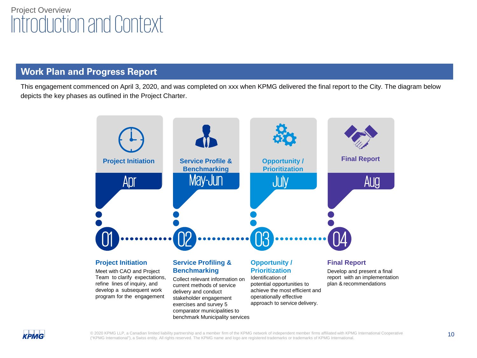### **Work Plan and Progress Report**

This engagement commenced on April 3, 2020, and was completed on xxx when KPMG delivered the final report to the City. The diagram below depicts the key phases as outlined in the Project Charter.





© 2020 KPMG LLP, a Canadian limited liability partnership and a member firm of the KPMG network of independent member firms affiliated with KPMG International Cooperative 10 ("KPMG International"), a Swiss entity. All rights reserved. The KPMG name and logo are registered trademarks or trademarks of KPMG International.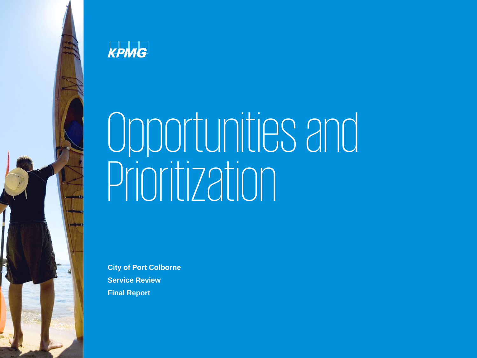

**KPMG** 

# Opportunities and Prioritization

**City of Port Colborne Service Review Final Report**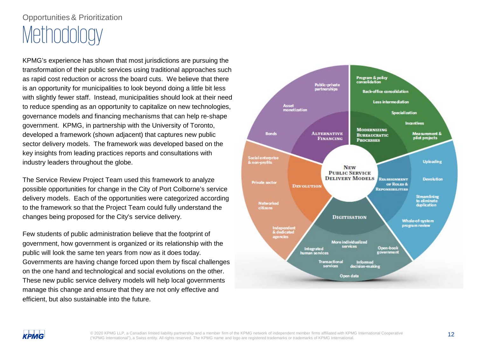KPMG's experience has shown that most jurisdictions are pursuing the transformation of their public services using traditional approaches such as rapid cost reduction or across the board cuts. We believe that there is an opportunity for municipalities to look beyond doing a little bit less with slightly fewer staff. Instead, municipalities should look at their need to reduce spending as an opportunity to capitalize on new technologies, governance models and financing mechanisms that can help re-shape government. KPMG, in partnership with the University of Toronto, developed a framework (shown adjacent) that captures new public sector delivery models. The framework was developed based on the key insights from leading practices reports and consultations with industry leaders throughout the globe.

The Service Review Project Team used this framework to analyze possible opportunities for change in the City of Port Colborne's service delivery models. Each of the opportunities were categorized according to the framework so that the Project Team could fully understand the changes being proposed for the City's service delivery.

Few students of public administration believe that the footprint of government, how government is organized or its relationship with the public will look the same ten years from now as it does today. Governments are having change forced upon them by fiscal challenges on the one hand and technological and social evolutions on the other. These new public service delivery models will help local governments manage this change and ensure that they are not only effective and efficient, but also sustainable into the future.

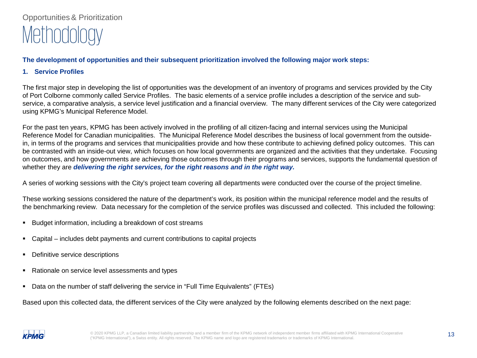### **The development of opportunities and their subsequent prioritization involved the following major work steps:**

**1. Service Profiles**

The first major step in developing the list of opportunities was the development of an inventory of programs and services provided by the City of Port Colborne commonly called Service Profiles. The basic elements of a service profile includes a description of the service and subservice, a comparative analysis, a service level justification and a financial overview. The many different services of the City were categorized using KPMG's Municipal Reference Model.

For the past ten years, KPMG has been actively involved in the profiling of all citizen-facing and internal services using the Municipal Reference Model for Canadian municipalities. The Municipal Reference Model describes the business of local government from the outsidein, in terms of the programs and services that municipalities provide and how these contribute to achieving defined policy outcomes. This can be contrasted with an inside-out view, which focuses on how local governments are organized and the activities that they undertake. Focusing on outcomes, and how governments are achieving those outcomes through their programs and services, supports the fundamental question of whether they are *delivering the right services, for the right reasons and in the right way.*

A series of working sessions with the City's project team covering all departments were conducted over the course of the project timeline.

These working sessions considered the nature of the department's work, its position within the municipal reference model and the results of the benchmarking review. Data necessary for the completion of the service profiles was discussed and collected. This included the following:

- **Budget information, including a breakdown of cost streams**
- Capital includes debt payments and current contributions to capital projects
- **•** Definitive service descriptions
- Rationale on service level assessments and types
- Data on the number of staff delivering the service in "Full Time Equivalents" (FTEs)

Based upon this collected data, the different services of the City were analyzed by the following elements described on the next page:

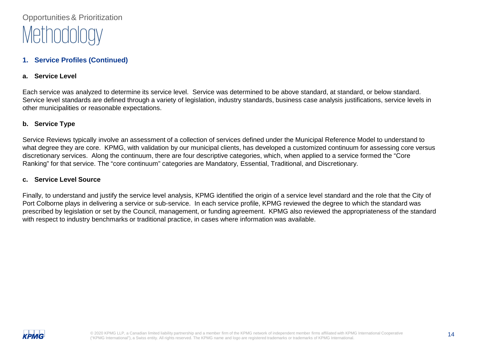### **1. Service Profiles (Continued)**

### **a. Service Level**

Each service was analyzed to determine its service level. Service was determined to be above standard, at standard, or below standard. Service level standards are defined through a variety of legislation, industry standards, business case analysis justifications, service levels in other municipalities or reasonable expectations.

### **b. Service Type**

Service Reviews typically involve an assessment of a collection of services defined under the Municipal Reference Model to understand to what degree they are core. KPMG, with validation by our municipal clients, has developed a customized continuum for assessing core versus discretionary services. Along the continuum, there are four descriptive categories, which, when applied to a service formed the "Core Ranking" for that service. The "core continuum" categories are Mandatory, Essential, Traditional, and Discretionary.

### **c. Service Level Source**

Finally, to understand and justify the service level analysis, KPMG identified the origin of a service level standard and the role that the City of Port Colborne plays in delivering a service or sub-service. In each service profile, KPMG reviewed the degree to which the standard was prescribed by legislation or set by the Council, management, or funding agreement. KPMG also reviewed the appropriateness of the standard with respect to industry benchmarks or traditional practice, in cases where information was available.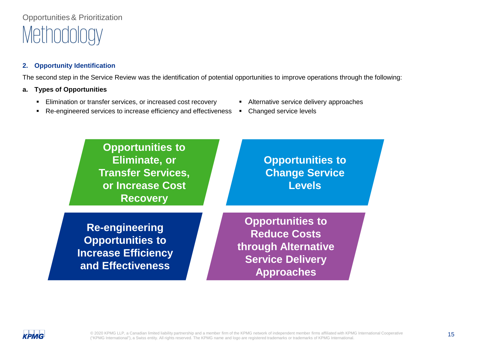### **2. Opportunity Identification**

The second step in the Service Review was the identification of potential opportunities to improve operations through the following:

### **a. Types of Opportunities**

- Elimination or transfer services, or increased cost recovery **Fig. 2** Alternative service delivery approaches
- Re-engineered services to increase efficiency and effectiveness Changed service levels
- 
- 





© 2020 KPMG LLP, a Canadian limited liability partnership and a member firm of the KPMG network of independent member firms affiliated with KPMG International Cooperative 15 ("KPMG International"), a Swiss entity. All rights reserved. The KPMG name and logo are registered trademarks or trademarks of KPMG International.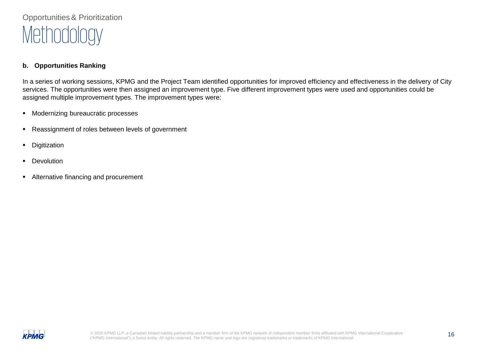### **b. Opportunities Ranking**

In a series of working sessions, KPMG and the Project Team identified opportunities for improved efficiency and effectiveness in the delivery of City services. The opportunities were then assigned an improvement type. Five different improvement types were used and opportunities could be assigned multiple improvement types. The improvement types were:

- **Modernizing bureaucratic processes**
- Reassignment of roles between levels of government
- **Digitization**
- **Devolution**
- Alternative financing and procurement

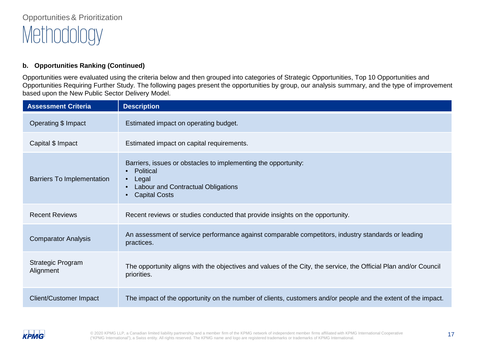### **b. Opportunities Ranking (Continued)**

Opportunities were evaluated using the criteria below and then grouped into categories of Strategic Opportunities, Top 10 Opportunities and Opportunities Requiring Further Study. The following pages present the opportunities by group, our analysis summary, and the type of improvement based upon the New Public Sector Delivery Model.

| <b>Assessment Criteria</b>        | <b>Description</b>                                                                                                                                 |
|-----------------------------------|----------------------------------------------------------------------------------------------------------------------------------------------------|
| Operating \$ Impact               | Estimated impact on operating budget.                                                                                                              |
| Capital \$ Impact                 | Estimated impact on capital requirements.                                                                                                          |
| <b>Barriers To Implementation</b> | Barriers, issues or obstacles to implementing the opportunity:<br>Political<br>Legal<br>Labour and Contractual Obligations<br><b>Capital Costs</b> |
| <b>Recent Reviews</b>             | Recent reviews or studies conducted that provide insights on the opportunity.                                                                      |
| <b>Comparator Analysis</b>        | An assessment of service performance against comparable competitors, industry standards or leading<br>practices.                                   |
| Strategic Program<br>Alignment    | The opportunity aligns with the objectives and values of the City, the service, the Official Plan and/or Council<br>priorities.                    |
| <b>Client/Customer Impact</b>     | The impact of the opportunity on the number of clients, customers and/or people and the extent of the impact.                                      |

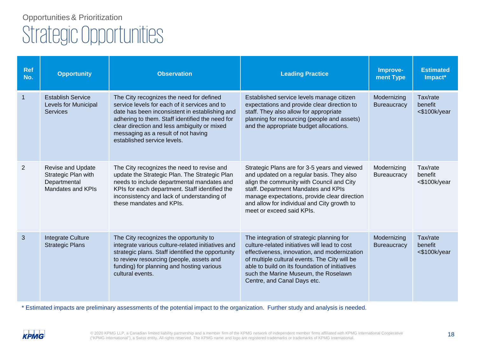# Strategic Opportunities Opportunities& Prioritization

| <b>Ref</b><br>No. | <b>Opportunity</b>                                                            | <b>Observation</b>                                                                                                                                                                                                                                                                                                  | <b>Leading Practice</b>                                                                                                                                                                                                                                                                                              | Improve-<br>ment Type             | <b>Estimated</b><br>Impact*            |
|-------------------|-------------------------------------------------------------------------------|---------------------------------------------------------------------------------------------------------------------------------------------------------------------------------------------------------------------------------------------------------------------------------------------------------------------|----------------------------------------------------------------------------------------------------------------------------------------------------------------------------------------------------------------------------------------------------------------------------------------------------------------------|-----------------------------------|----------------------------------------|
| $\overline{1}$    | <b>Establish Service</b><br>Levels for Municipal<br>Services                  | The City recognizes the need for defined<br>service levels for each of it services and to<br>date has been inconsistent in establishing and<br>adhering to them. Staff identified the need for<br>clear direction and less ambiguity or mixed<br>messaging as a result of not having<br>established service levels. | Established service levels manage citizen<br>expectations and provide clear direction to<br>staff. They also allow for appropriate<br>planning for resourcing (people and assets)<br>and the appropriate budget allocations.                                                                                         | Modernizing<br><b>Bureaucracy</b> | Tax/rate<br>benefit<br><\$100k/year    |
| 2                 | Revise and Update<br>Strategic Plan with<br>Departmental<br>Mandates and KPIs | The City recognizes the need to revise and<br>update the Strategic Plan. The Strategic Plan<br>needs to include departmental mandates and<br>KPIs for each department. Staff identified the<br>inconsistency and lack of understanding of<br>these mandates and KPIs.                                               | Strategic Plans are for 3-5 years and viewed<br>and updated on a regular basis. They also<br>align the community with Council and City<br>staff. Department Mandates and KPIs<br>manage expectations, provide clear direction<br>and allow for individual and City growth to<br>meet or exceed said KPIs.            | Modernizing<br><b>Bureaucracy</b> | Tax/rate<br>benefit<br><\$100k/year    |
| 3                 | Integrate Culture<br><b>Strategic Plans</b>                                   | The City recognizes the opportunity to<br>integrate various culture-related initiatives and<br>strategic plans. Staff identified the opportunity<br>to review resourcing (people, assets and<br>funding) for planning and hosting various<br>cultural events.                                                       | The integration of strategic planning for<br>culture-related initiatives will lead to cost<br>effectiveness, innovation, and modernization<br>of multiple cultural events. The City will be<br>able to build on its foundation of initiatives<br>such the Marine Museum, the Roselawn<br>Centre, and Canal Days etc. | Modernizing<br><b>Bureaucracy</b> | Tax/rate<br>benefit<br>$<$ \$100k/year |

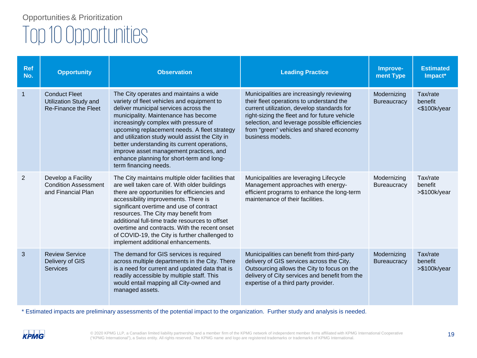| <b>Ref</b><br>No. | <b>Opportunity</b>                                                           | <b>Observation</b>                                                                                                                                                                                                                                                                                                                                                                                                                                                                                                                                                                                                                                                                                                                                                                         | <b>Leading Practice</b>                                                                                                                                                                                                           | Improve-<br>ment Type             | <b>Estimated</b><br>Impact*         |
|-------------------|------------------------------------------------------------------------------|--------------------------------------------------------------------------------------------------------------------------------------------------------------------------------------------------------------------------------------------------------------------------------------------------------------------------------------------------------------------------------------------------------------------------------------------------------------------------------------------------------------------------------------------------------------------------------------------------------------------------------------------------------------------------------------------------------------------------------------------------------------------------------------------|-----------------------------------------------------------------------------------------------------------------------------------------------------------------------------------------------------------------------------------|-----------------------------------|-------------------------------------|
| $\mathbf{1}$      | <b>Conduct Fleet</b><br>Utilization Study and<br><b>Re-Finance the Fleet</b> | Municipalities are increasingly reviewing<br>The City operates and maintains a wide<br>variety of fleet vehicles and equipment to<br>their fleet operations to understand the<br>deliver municipal services across the<br>current utilization, develop standards for<br>municipality. Maintenance has become<br>right-sizing the fleet and for future vehicle<br>selection, and leverage possible efficiencies<br>increasingly complex with pressure of<br>from "green" vehicles and shared economy<br>upcoming replacement needs. A fleet strategy<br>and utilization study would assist the City in<br>business models.<br>better understanding its current operations,<br>improve asset management practices, and<br>enhance planning for short-term and long-<br>term financing needs. |                                                                                                                                                                                                                                   | Modernizing<br><b>Bureaucracy</b> | Tax/rate<br>benefit<br><\$100k/year |
| 2                 | Develop a Facility<br><b>Condition Assessment</b><br>and Financial Plan      | The City maintains multiple older facilities that<br>are well taken care of. With older buildings<br>there are opportunities for efficiencies and<br>accessibility improvements. There is<br>significant overtime and use of contract<br>resources. The City may benefit from<br>additional full-time trade resources to offset<br>overtime and contracts. With the recent onset<br>of COVID-19, the City is further challenged to<br>implement additional enhancements.                                                                                                                                                                                                                                                                                                                   | Municipalities are leveraging Lifecycle<br>Management approaches with energy-<br>efficient programs to enhance the long-term<br>maintenance of their facilities.                                                                  | Modernizing<br><b>Bureaucracy</b> | Tax/rate<br>benefit<br>>\$100k/year |
| 3                 | <b>Review Service</b><br>Delivery of GIS<br><b>Services</b>                  | The demand for GIS services is required<br>across multiple departments in the City. There<br>is a need for current and updated data that is<br>readily accessible by multiple staff. This<br>would entail mapping all City-owned and<br>managed assets.                                                                                                                                                                                                                                                                                                                                                                                                                                                                                                                                    | Municipalities can benefit from third-party<br>delivery of GIS services across the City.<br>Outsourcing allows the City to focus on the<br>delivery of City services and benefit from the<br>expertise of a third party provider. | Modernizing<br><b>Bureaucracy</b> | Tax/rate<br>benefit<br>>\$100k/year |

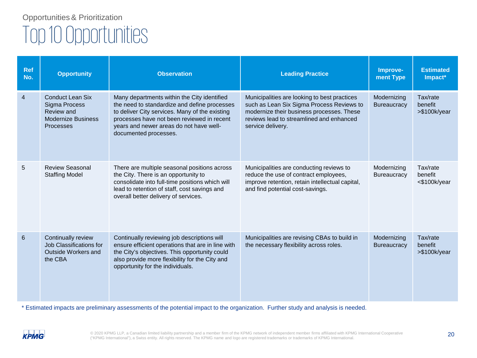| <b>Ref</b><br>No. | <b>Opportunity</b>                                                                               | <b>Observation</b>                                                                                                                                                                                                                                              | <b>Leading Practice</b>                                                                                                                                                                                 | Improve-<br>ment Type             | <b>Estimated</b><br>Impact*          |
|-------------------|--------------------------------------------------------------------------------------------------|-----------------------------------------------------------------------------------------------------------------------------------------------------------------------------------------------------------------------------------------------------------------|---------------------------------------------------------------------------------------------------------------------------------------------------------------------------------------------------------|-----------------------------------|--------------------------------------|
| $\overline{4}$    | <b>Conduct Lean Six</b><br>Sigma Process<br>Review and<br><b>Modernize Business</b><br>Processes | Many departments within the City identified<br>the need to standardize and define processes<br>to deliver City services. Many of the existing<br>processes have not been reviewed in recent<br>years and newer areas do not have well-<br>documented processes. | Municipalities are looking to best practices<br>such as Lean Six Sigma Process Reviews to<br>modernize their business processes. These<br>reviews lead to streamlined and enhanced<br>service delivery. | Modernizing<br><b>Bureaucracy</b> | Tax/rate<br>benefit<br>>\$100k/year  |
| 5                 | <b>Review Seasonal</b><br><b>Staffing Model</b>                                                  | There are multiple seasonal positions across<br>the City. There is an opportunity to<br>consolidate into full-time positions which will<br>lead to retention of staff, cost savings and<br>overall better delivery of services.                                 | Municipalities are conducting reviews to<br>reduce the use of contract employees,<br>improve retention, retain intellectual capital,<br>and find potential cost-savings.                                | Modernizing<br><b>Bureaucracy</b> | Tax/rate<br>benefit<br><\$100k/year  |
| 6                 | Continually review<br>Job Classifications for<br>Outside Workers and<br>the CBA                  | Continually reviewing job descriptions will<br>ensure efficient operations that are in line with<br>the City's objectives. This opportunity could<br>also provide more flexibility for the City and<br>opportunity for the individuals.                         | Municipalities are revising CBAs to build in<br>the necessary flexibility across roles.                                                                                                                 | Modernizing<br><b>Bureaucracy</b> | Tax/rate<br>benefit<br>> \$100k/year |

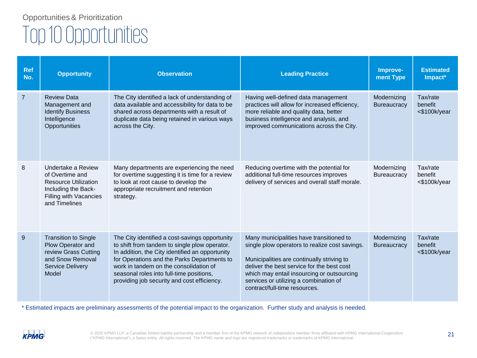| <b>Ref</b><br>No. | <b>Opportunity</b>                                                                                                                     | <b>Observation</b>                                                                                                                                                                                                                                                                                                                     | <b>Leading Practice</b>                                                                                                                                                                                                                                                                                         | Improve-<br>ment Type             | <b>Estimated</b><br>Impact*         |
|-------------------|----------------------------------------------------------------------------------------------------------------------------------------|----------------------------------------------------------------------------------------------------------------------------------------------------------------------------------------------------------------------------------------------------------------------------------------------------------------------------------------|-----------------------------------------------------------------------------------------------------------------------------------------------------------------------------------------------------------------------------------------------------------------------------------------------------------------|-----------------------------------|-------------------------------------|
| $\overline{7}$    | <b>Review Data</b><br>Management and<br><b>Identify Business</b><br>Intelligence<br>Opportunities                                      | The City identified a lack of understanding of<br>data available and accessibility for data to be<br>shared across departments with a result of<br>duplicate data being retained in various ways<br>across the City.                                                                                                                   | Having well-defined data management<br>practices will allow for increased efficiency,<br>more reliable and quality data, better<br>business intelligence and analysis, and<br>improved communications across the City.                                                                                          | Modernizing<br><b>Bureaucracy</b> | Tax/rate<br>benefit<br><\$100k/year |
| 8                 | Undertake a Review<br>of Overtime and<br><b>Resource Utilization</b><br>Including the Back-<br>Filling with Vacancies<br>and Timelines | Many departments are experiencing the need<br>for overtime suggesting it is time for a review<br>to look at root cause to develop the<br>appropriate recruitment and retention<br>strategy.                                                                                                                                            | Reducing overtime with the potential for<br>additional full-time resources improves<br>delivery of services and overall staff morale.                                                                                                                                                                           | Modernizing<br><b>Bureaucracy</b> | Tax/rate<br>benefit<br><\$100k/year |
| 9                 | <b>Transition to Single</b><br>Plow Operator and<br>review Grass Cutting<br>and Snow Removal<br><b>Service Delivery</b><br>Model       | The City identified a cost-savings opportunity<br>to shift from tandem to single plow operator.<br>In addition, the City identified an opportunity<br>for Operations and the Parks Departments to<br>work in tandem on the consolidation of<br>seasonal roles into full-time positions,<br>providing job security and cost efficiency. | Many municipalities have transitioned to<br>single plow operators to realize cost savings.<br>Municipalities are continually striving to<br>deliver the best service for the best cost<br>which may entail insourcing or outsourcing<br>services or utilizing a combination of<br>contract/full-time resources. | Modernizing<br><b>Bureaucracy</b> | Tax/rate<br>benefit<br><\$100k/year |

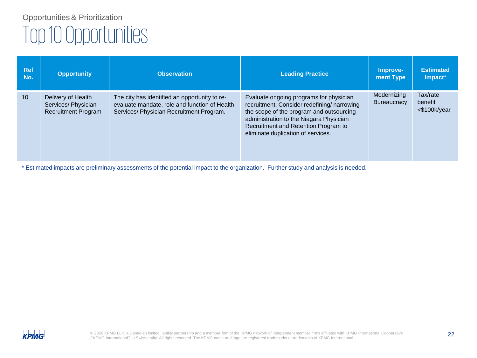| <b>Ref</b><br>No. | <b>Opportunity</b>                                                      | <b>Observation</b>                                                                                                                         | <b>Leading Practice</b>                                                                                                                                                                                                                                    | Improve-<br>ment Type             | <b>Estimated</b><br>Impact*         |
|-------------------|-------------------------------------------------------------------------|--------------------------------------------------------------------------------------------------------------------------------------------|------------------------------------------------------------------------------------------------------------------------------------------------------------------------------------------------------------------------------------------------------------|-----------------------------------|-------------------------------------|
| 10 <sup>1</sup>   | Delivery of Health<br>Services/ Physician<br><b>Recruitment Program</b> | The city has identified an opportunity to re-<br>evaluate mandate, role and function of Health<br>Services/ Physician Recruitment Program. | Evaluate ongoing programs for physician<br>recruitment. Consider redefining/narrowing<br>the scope of the program and outsourcing<br>administration to the Niagara Physician<br>Recruitment and Retention Program to<br>eliminate duplication of services. | Modernizing<br><b>Bureaucracy</b> | Tax/rate<br>benefit<br><\$100k/year |

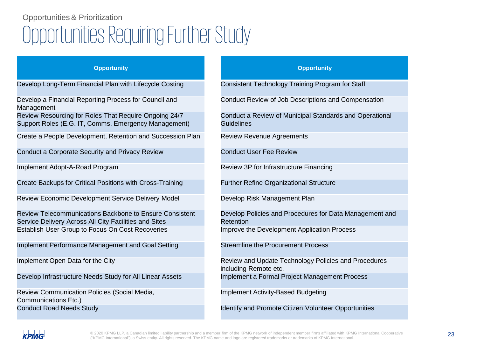# Opportunities Requiring Further Study Opportunities& Prioritization

### **Opportunity Opportunity**

Develop Long-Term Financial Plan with Lifecycle Costing

Develop a Financial Reporting Process for Council and Management

Review Resourcing for Roles That Require Ongoing 24/7 Support Roles (E.G. IT, Comms, Emergency Management)

Create a People Development, Retention and Succession Plan

Conduct a Corporate Security and Privacy Review

Implement Adopt-A-Road Program

Create Backups for Critical Positions with Cross-Training

Review Economic Development Service Delivery Model

Review Telecommunications Backbone to Ensure Consistent Service Delivery Across All City Facilities and Sites Establish User Group to Focus On Cost Recoveries

Implement Performance Management and Goal Setting

Implement Open Data for the City

Develop Infrastructure Needs Study for All Linear Assets

Review Communication Policies (Social Media, Communications Etc.) Conduct Road Needs Study

| <b>Opportunity</b>                                                            |
|-------------------------------------------------------------------------------|
| Consistent Technology Training Program for Staff                              |
| Conduct Review of Job Descriptions and Compensation                           |
| Conduct a Review of Municipal Standards and Operational<br><b>Guidelines</b>  |
| <b>Review Revenue Agreements</b>                                              |
| <b>Conduct User Fee Review</b>                                                |
| Review 3P for Infrastructure Financing                                        |
| <b>Further Refine Organizational Structure</b>                                |
| Develop Risk Management Plan                                                  |
| Develop Policies and Procedures for Data Management and<br>Retention          |
| Improve the Development Application Process                                   |
| <b>Streamline the Procurement Process</b>                                     |
| Review and Update Technology Policies and Procedures<br>including Remote etc. |
| Implement a Formal Project Management Process                                 |
| <b>Implement Activity-Based Budgeting</b>                                     |
| Identify and Promote Citizen Volunteer Opportunities                          |



© 2020 KPMG LLP, a Canadian limited liability partnership and a member firm of the KPMG network of independent member firms affiliated with KPMG International Cooperative 23 ("KPMG International"), a Swiss entity. All rights reserved. The KPMG name and logo are registered trademarks or trademarks of KPMG International.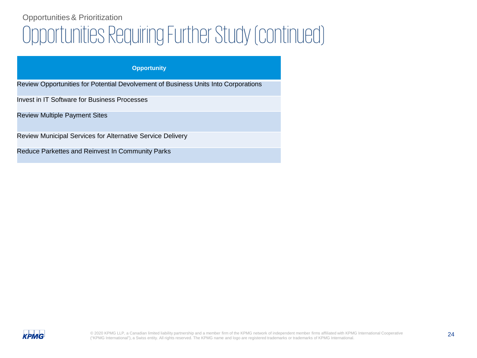# Opportunities Requiring Further Study (continued) Opportunities& Prioritization

### **Opportunity**

Review Opportunities for Potential Devolvement of Business Units Into Corporations

Invest in IT Software for Business Processes

Review Multiple Payment Sites

Review Municipal Services for Alternative Service Delivery

Reduce Parkettes and Reinvest In Community Parks

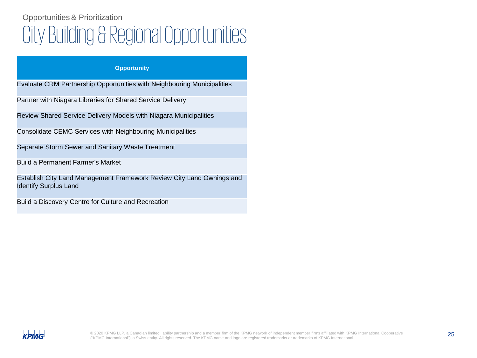# City Building & Regional Opportunities Opportunities& Prioritization

### **Opportunity**

Evaluate CRM Partnership Opportunities with Neighbouring Municipalities

Partner with Niagara Libraries for Shared Service Delivery

Review Shared Service Delivery Models with Niagara Municipalities

Consolidate CEMC Services with Neighbouring Municipalities

Separate Storm Sewer and Sanitary Waste Treatment

Build a Permanent Farmer's Market

Establish City Land Management Framework Review City Land Ownings and Identify Surplus Land

Build a Discovery Centre for Culture and Recreation

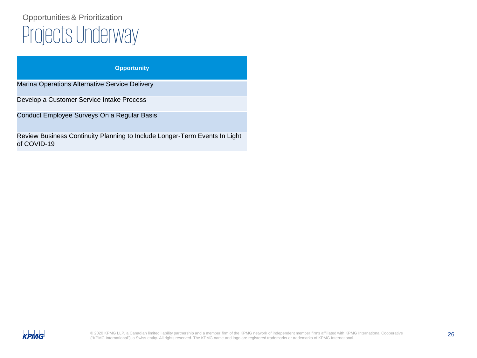# Projects Underway Opportunities& Prioritization

| <b>Opportunity</b> |  |
|--------------------|--|
|                    |  |

Marina Operations Alternative Service Delivery

Develop a Customer Service Intake Process

Conduct Employee Surveys On a Regular Basis

Review Business Continuity Planning to Include Longer-Term Events In Light of COVID-19

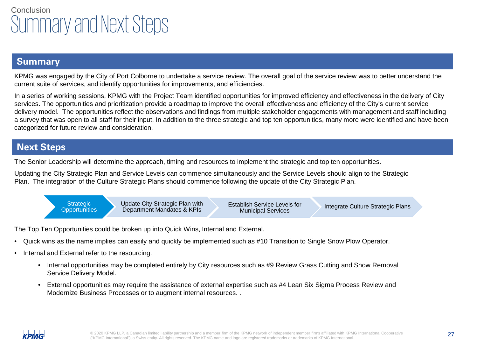# **Conclusion** Summary and Next Steps

### **Summary**

KPMG was engaged by the City of Port Colborne to undertake a service review. The overall goal of the service review was to better understand the current suite of services, and identify opportunities for improvements, and efficiencies.

In a series of working sessions, KPMG with the Project Team identified opportunities for improved efficiency and effectiveness in the delivery of City services. The opportunities and prioritization provide a roadmap to improve the overall effectiveness and efficiency of the City's current service delivery model. The opportunities reflect the observations and findings from multiple stakeholder engagements with management and staff including a survey that was open to all staff for their input. In addition to the three strategic and top ten opportunities, many more were identified and have been categorized for future review and consideration.

### **Next Steps**

The Senior Leadership will determine the approach, timing and resources to implement the strategic and top ten opportunities.

Updating the City Strategic Plan and Service Levels can commence simultaneously and the Service Levels should align to the Strategic Plan. The integration of the Culture Strategic Plans should commence following the update of the City Strategic Plan.



The Top Ten Opportunities could be broken up into Quick Wins, Internal and External.

- Quick wins as the name implies can easily and quickly be implemented such as #10 Transition to Single Snow Plow Operator.
- Internal and External refer to the resourcing.
	- Internal opportunities may be completed entirely by City resources such as #9 Review Grass Cutting and Snow Removal Service Delivery Model.
	- External opportunities may require the assistance of external expertise such as #4 Lean Six Sigma Process Review and Modernize Business Processes or to augment internal resources. .

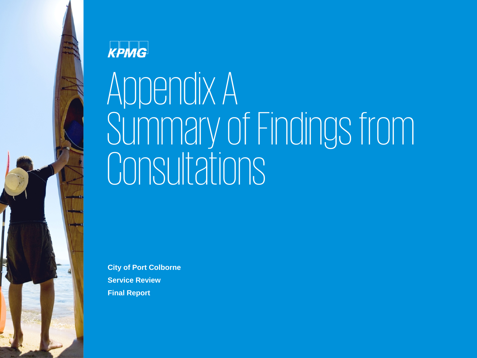# KPMG

# Appendix A Summary of Findings from **Consultations**

**City of Port Colborne Service Review Final Report**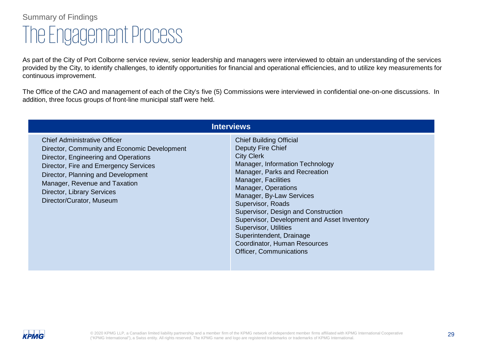# The Engagement Process Summary of Findings

As part of the City of Port Colborne service review, senior leadership and managers were interviewed to obtain an understanding of the services provided by the City, to identify challenges, to identify opportunities for financial and operational efficiencies, and to utilize key measurements for continuous improvement.

The Office of the CAO and management of each of the City's five (5) Commissions were interviewed in confidential one-on-one discussions. In addition, three focus groups of front-line municipal staff were held.

|                                                                                                                                                                                                                                                                                                       | <b>Interviews</b>                                                                                                                                                                                                                                                                                                                                                                                                                                        |
|-------------------------------------------------------------------------------------------------------------------------------------------------------------------------------------------------------------------------------------------------------------------------------------------------------|----------------------------------------------------------------------------------------------------------------------------------------------------------------------------------------------------------------------------------------------------------------------------------------------------------------------------------------------------------------------------------------------------------------------------------------------------------|
| <b>Chief Administrative Officer</b><br>Director, Community and Economic Development<br>Director, Engineering and Operations<br>Director, Fire and Emergency Services<br>Director, Planning and Development<br>Manager, Revenue and Taxation<br>Director, Library Services<br>Director/Curator, Museum | <b>Chief Building Official</b><br>Deputy Fire Chief<br><b>City Clerk</b><br>Manager, Information Technology<br>Manager, Parks and Recreation<br>Manager, Facilities<br>Manager, Operations<br>Manager, By-Law Services<br>Supervisor, Roads<br>Supervisor, Design and Construction<br>Supervisor, Development and Asset Inventory<br>Supervisor, Utilities<br>Superintendent, Drainage<br>Coordinator, Human Resources<br><b>Officer, Communications</b> |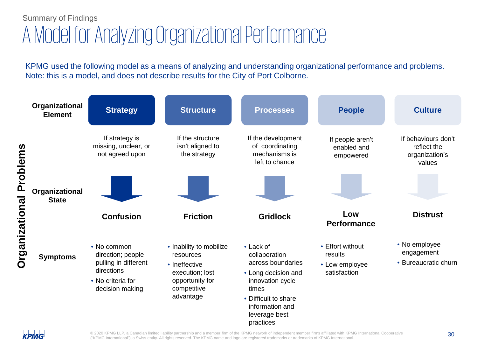# A Model for Analyzing Organizational Performance Summary of Findings

KPMG used the following model as a means of analyzing and understanding organizational performance and problems. Note: this is a model, and does not describe results for the City of Port Colborne.

|                       | Organizational<br><b>Element</b> | <b>Strategy</b>                                                                                                | <b>Structure</b>                                                                                                        | <b>Processes</b>                                                                                                                                                             | <b>People</b>                                                 | <b>Culture</b>                                                 |
|-----------------------|----------------------------------|----------------------------------------------------------------------------------------------------------------|-------------------------------------------------------------------------------------------------------------------------|------------------------------------------------------------------------------------------------------------------------------------------------------------------------------|---------------------------------------------------------------|----------------------------------------------------------------|
| Problems              |                                  | If strategy is<br>missing, unclear, or<br>not agreed upon                                                      | If the structure<br>isn't aligned to<br>the strategy                                                                    | If the development<br>of coordinating<br>mechanisms is<br>left to chance                                                                                                     | If people aren't<br>enabled and<br>empowered                  | If behaviours don't<br>reflect the<br>organization's<br>values |
|                       | Organizational<br><b>State</b>   |                                                                                                                |                                                                                                                         |                                                                                                                                                                              |                                                               |                                                                |
|                       |                                  | <b>Confusion</b>                                                                                               | <b>Friction</b>                                                                                                         | <b>Gridlock</b>                                                                                                                                                              | Low<br><b>Performance</b>                                     | <b>Distrust</b>                                                |
| <b>Organizational</b> | <b>Symptoms</b>                  | • No common<br>direction; people<br>pulling in different<br>directions<br>• No criteria for<br>decision making | • Inability to mobilize<br>resources<br>• Ineffective<br>execution; lost<br>opportunity for<br>competitive<br>advantage | • Lack of<br>collaboration<br>across boundaries<br>• Long decision and<br>innovation cycle<br>times<br>• Difficult to share<br>information and<br>leverage best<br>practices | • Effort without<br>results<br>• Low employee<br>satisfaction | • No employee<br>engagement<br>• Bureaucratic churn            |

**KPMG** 

© 2020 KPMG LLP, a Canadian limited liability partnership and a member firm of the KPMG network of independent member firms affiliated with KPMG International Cooperative 30 ("KPMG International"), a Swiss entity. All rights reserved. The KPMG name and logo are registered trademarks or trademarks of KPMG International.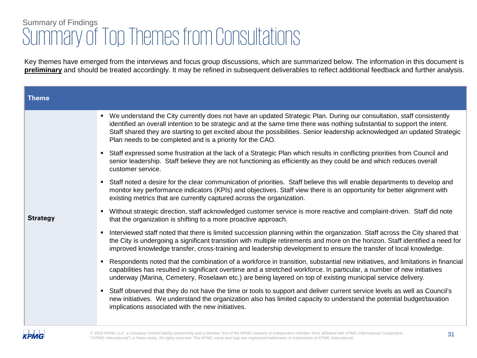| <b>Theme</b>    |                                                                                                                                                                                                                                                                                                                                                                                                                                               |
|-----------------|-----------------------------------------------------------------------------------------------------------------------------------------------------------------------------------------------------------------------------------------------------------------------------------------------------------------------------------------------------------------------------------------------------------------------------------------------|
|                 | We understand the City currently does not have an updated Strategic Plan. During our consultation, staff consistently<br>identified an overall intention to be strategic and at the same time there was nothing substantial to support the intent.<br>Staff shared they are starting to get excited about the possibilities. Senior leadership acknowledged an updated Strategic<br>Plan needs to be completed and is a priority for the CAO. |
|                 | Staff expressed some frustration at the lack of a Strategic Plan which results in conflicting priorities from Council and<br>senior leadership. Staff believe they are not functioning as efficiently as they could be and which reduces overall<br>customer service.                                                                                                                                                                         |
|                 | Staff noted a desire for the clear communication of priorities. Staff believe this will enable departments to develop and<br>monitor key performance indicators (KPIs) and objectives. Staff view there is an opportunity for better alignment with<br>existing metrics that are currently captured across the organization.                                                                                                                  |
| <b>Strategy</b> | Without strategic direction, staff acknowledged customer service is more reactive and complaint-driven. Staff did note<br>that the organization is shifting to a more proactive approach.                                                                                                                                                                                                                                                     |
|                 | Interviewed staff noted that there is limited succession planning within the organization. Staff across the City shared that<br>the City is undergoing a significant transition with multiple retirements and more on the horizon. Staff identified a need for<br>improved knowledge transfer, cross-training and leadership development to ensure the transfer of local knowledge.                                                           |
|                 | Respondents noted that the combination of a workforce in transition, substantial new initiatives, and limitations in financial<br>capabilities has resulted in significant overtime and a stretched workforce. In particular, a number of new initiatives<br>underway (Marina, Cemetery, Roselawn etc.) are being layered on top of existing municipal service delivery.                                                                      |
|                 | Staff observed that they do not have the time or tools to support and deliver current service levels as well as Council's<br>new initiatives. We understand the organization also has limited capacity to understand the potential budget/taxation<br>implications associated with the new initiatives.                                                                                                                                       |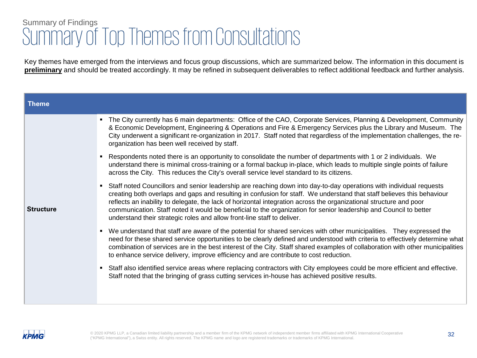| <b>Theme</b>     |                                                                                                                                                                                                                                                                                                                                                                                                                                                                                                                                                                     |  |
|------------------|---------------------------------------------------------------------------------------------------------------------------------------------------------------------------------------------------------------------------------------------------------------------------------------------------------------------------------------------------------------------------------------------------------------------------------------------------------------------------------------------------------------------------------------------------------------------|--|
|                  | The City currently has 6 main departments: Office of the CAO, Corporate Services, Planning & Development, Community<br>& Economic Development, Engineering & Operations and Fire & Emergency Services plus the Library and Museum. The<br>City underwent a significant re-organization in 2017. Staff noted that regardless of the implementation challenges, the re-<br>organization has been well received by staff.                                                                                                                                              |  |
| <b>Structure</b> | Respondents noted there is an opportunity to consolidate the number of departments with 1 or 2 individuals. We<br>understand there is minimal cross-training or a formal backup in-place, which leads to multiple single points of failure<br>across the City. This reduces the City's overall service level standard to its citizens.                                                                                                                                                                                                                              |  |
|                  | Staff noted Councillors and senior leadership are reaching down into day-to-day operations with individual requests<br>creating both overlaps and gaps and resulting in confusion for staff. We understand that staff believes this behaviour<br>reflects an inability to delegate, the lack of horizontal integration across the organizational structure and poor<br>communication. Staff noted it would be beneficial to the organization for senior leadership and Council to better<br>understand their strategic roles and allow front-line staff to deliver. |  |
|                  | • We understand that staff are aware of the potential for shared services with other municipalities. They expressed the<br>need for these shared service opportunities to be clearly defined and understood with criteria to effectively determine what<br>combination of services are in the best interest of the City. Staff shared examples of collaboration with other municipalities<br>to enhance service delivery, improve efficiency and are contribute to cost reduction.                                                                                  |  |
|                  | Staff also identified service areas where replacing contractors with City employees could be more efficient and effective.<br>Staff noted that the bringing of grass cutting services in-house has achieved positive results.                                                                                                                                                                                                                                                                                                                                       |  |
|                  |                                                                                                                                                                                                                                                                                                                                                                                                                                                                                                                                                                     |  |

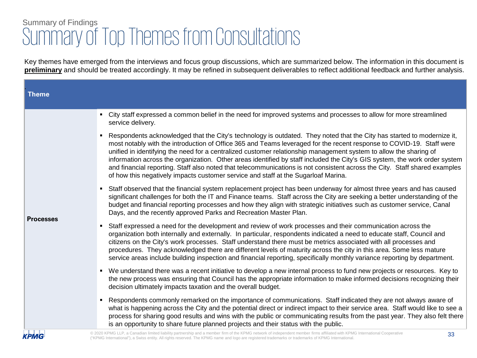| <b>Theme</b>     |                                                                                                                                                                                                                                                                                                                                                                                                                                                                                                                                                                                                                                                                                                                       |
|------------------|-----------------------------------------------------------------------------------------------------------------------------------------------------------------------------------------------------------------------------------------------------------------------------------------------------------------------------------------------------------------------------------------------------------------------------------------------------------------------------------------------------------------------------------------------------------------------------------------------------------------------------------------------------------------------------------------------------------------------|
| <b>Processes</b> | • City staff expressed a common belief in the need for improved systems and processes to allow for more streamlined<br>service delivery.                                                                                                                                                                                                                                                                                                                                                                                                                                                                                                                                                                              |
|                  | Respondents acknowledged that the City's technology is outdated. They noted that the City has started to modernize it,<br>most notably with the introduction of Office 365 and Teams leveraged for the recent response to COVID-19. Staff were<br>unified in identifying the need for a centralized customer relationship management system to allow the sharing of<br>information across the organization. Other areas identified by staff included the City's GIS system, the work order system<br>and financial reporting. Staff also noted that telecommunications is not consistent across the City. Staff shared examples<br>of how this negatively impacts customer service and staff at the Sugarloaf Marina. |
|                  | Staff observed that the financial system replacement project has been underway for almost three years and has caused<br>significant challenges for both the IT and Finance teams. Staff across the City are seeking a better understanding of the<br>budget and financial reporting processes and how they align with strategic initiatives such as customer service, Canal<br>Days, and the recently approved Parks and Recreation Master Plan.                                                                                                                                                                                                                                                                      |
|                  | Staff expressed a need for the development and review of work processes and their communication across the<br>organization both internally and externally. In particular, respondents indicated a need to educate staff, Council and<br>citizens on the City's work processes. Staff understand there must be metrics associated with all processes and<br>procedures. They acknowledged there are different levels of maturity across the city in this area. Some less mature<br>service areas include building inspection and financial reporting, specifically monthly variance reporting by department.                                                                                                           |
|                  | We understand there was a recent initiative to develop a new internal process to fund new projects or resources. Key to<br>$\blacksquare$<br>the new process was ensuring that Council has the appropriate information to make informed decisions recognizing their<br>decision ultimately impacts taxation and the overall budget.                                                                                                                                                                                                                                                                                                                                                                                   |
|                  | Respondents commonly remarked on the importance of communications. Staff indicated they are not always aware of<br>what is happening across the City and the potential direct or indirect impact to their service area. Staff would like to see a<br>process for sharing good results and wins with the public or communicating results from the past year. They also felt there<br>is an opportunity to share future planned projects and their status with the public.                                                                                                                                                                                                                                              |
| <b>KPMG</b>      | @ 2020 KPMG LLP, a Canadian limited liability partnership and a member firm of the KPMG network of independent member firms affiliated with KPMG International Cooperative<br>33<br>("KPMG International"), a Swiss entity. All rights reserved. The KPMG name and logo are registered trademarks or trademarks of KPMG International                                                                                                                                                                                                                                                                                                                                                                                 |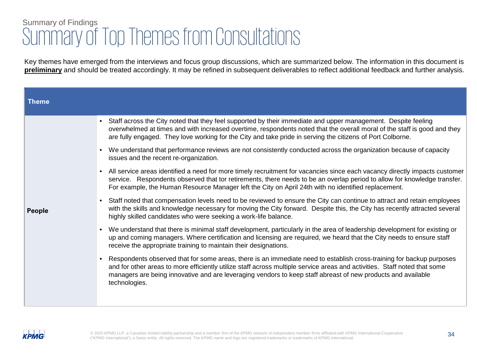| <b>Theme</b>  |           |                                                                                                                                                                                                                                                                                                                                                                                      |
|---------------|-----------|--------------------------------------------------------------------------------------------------------------------------------------------------------------------------------------------------------------------------------------------------------------------------------------------------------------------------------------------------------------------------------------|
| <b>People</b> | $\bullet$ | Staff across the City noted that they feel supported by their immediate and upper management. Despite feeling<br>overwhelmed at times and with increased overtime, respondents noted that the overall moral of the staff is good and they<br>are fully engaged. They love working for the City and take pride in serving the citizens of Port Colborne.                              |
|               |           | We understand that performance reviews are not consistently conducted across the organization because of capacity<br>issues and the recent re-organization.                                                                                                                                                                                                                          |
|               |           | • All service areas identified a need for more timely recruitment for vacancies since each vacancy directly impacts customer<br>service. Respondents observed that tor retirements, there needs to be an overlap period to allow for knowledge transfer.<br>For example, the Human Resource Manager left the City on April 24th with no identified replacement.                      |
|               |           | • Staff noted that compensation levels need to be reviewed to ensure the City can continue to attract and retain employees<br>with the skills and knowledge necessary for moving the City forward. Despite this, the City has recently attracted several<br>highly skilled candidates who were seeking a work-life balance.                                                          |
|               |           | • We understand that there is minimal staff development, particularly in the area of leadership development for existing or<br>up and coming managers. Where certification and licensing are required, we heard that the City needs to ensure staff<br>receive the appropriate training to maintain their designations.                                                              |
|               |           | • Respondents observed that for some areas, there is an immediate need to establish cross-training for backup purposes<br>and for other areas to more efficiently utilize staff across multiple service areas and activities. Staff noted that some<br>managers are being innovative and are leveraging vendors to keep staff abreast of new products and available<br>technologies. |
|               |           |                                                                                                                                                                                                                                                                                                                                                                                      |

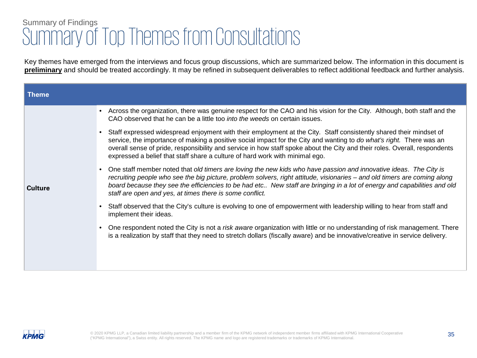| Across the organization, there was genuine respect for the CAO and his vision for the City. Although, both staff and the<br>CAO observed that he can be a little too <i>into the weeds</i> on certain issues.                                                                                                                                                                                                                                            |
|----------------------------------------------------------------------------------------------------------------------------------------------------------------------------------------------------------------------------------------------------------------------------------------------------------------------------------------------------------------------------------------------------------------------------------------------------------|
| Staff expressed widespread enjoyment with their employment at the City. Staff consistently shared their mindset of<br>service, the importance of making a positive social impact for the City and wanting to do what's right. There was an<br>overall sense of pride, responsibility and service in how staff spoke about the City and their roles. Overall, respondents<br>expressed a belief that staff share a culture of hard work with minimal ego. |
| One staff member noted that old timers are loving the new kids who have passion and innovative ideas. The City is<br>recruiting people who see the big picture, problem solvers, right attitude, visionaries – and old timers are coming along<br>board because they see the efficiencies to be had etc New staff are bringing in a lot of energy and capabilities and old<br>staff are open and yes, at times there is some conflict.                   |
| Staff observed that the City's culture is evolving to one of empowerment with leadership willing to hear from staff and<br>implement their ideas.                                                                                                                                                                                                                                                                                                        |
| One respondent noted the City is not a risk aware organization with little or no understanding of risk management. There<br>is a realization by staff that they need to stretch dollars (fiscally aware) and be innovative/creative in service delivery.                                                                                                                                                                                                 |
|                                                                                                                                                                                                                                                                                                                                                                                                                                                          |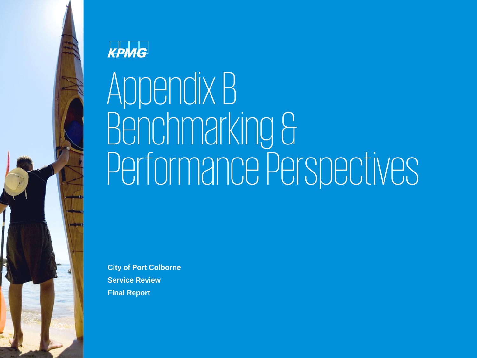

# KPMG

# Appendix B Benchmarking & Performance Perspectives

**City of Port Colborne Service Review Final Report**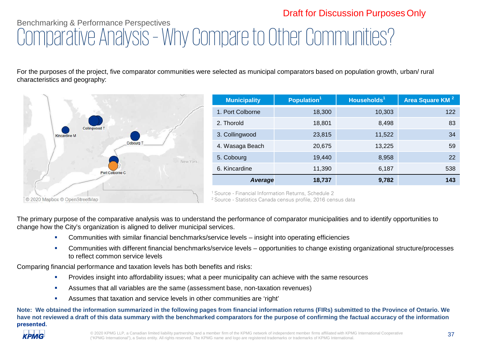## Benchmarking & Performance Perspectives Comparative Analysis – Why Compare to Other Communities? Draft for Discussion Purposes Only

For the purposes of the project, five comparator communities were selected as municipal comparators based on population growth, urban/ rural characteristics and geography:



| <b>Municipality</b> | Population <sup>1</sup> | Households <sup>1</sup> | Area Square KM <sup>2</sup> |
|---------------------|-------------------------|-------------------------|-----------------------------|
| 1. Port Colborne    | 18,300                  | 10,303                  | 122                         |
| 2. Thorold          | 18,801                  | 8,498                   | 83                          |
| 3. Collingwood      | 23,815                  | 11,522                  | 34                          |
| 4. Wasaga Beach     | 20,675                  | 13,225                  | 59                          |
| 5. Cobourg          | 19,440                  | 8,958                   | 22                          |
| 6. Kincardine       | 11,390                  | 6,187                   | 538                         |
| Average             | 18,737                  | 9,782                   | 143                         |

1 Source - Financial Information Returns, Schedule 2

2 Source - Statistics Canada census profile, 2016 census data

The primary purpose of the comparative analysis was to understand the performance of comparator municipalities and to identify opportunities to change how the City's organization is aligned to deliver municipal services.

- Communities with similar financial benchmarks/service levels insight into operating efficiencies
- Communities with different financial benchmarks/service levels opportunities to change existing organizational structure/processes to reflect common service levels

Comparing financial performance and taxation levels has both benefits and risks:

- Provides insight into affordability issues; what a peer municipality can achieve with the same resources
- Assumes that all variables are the same (assessment base, non-taxation revenues)
- Assumes that taxation and service levels in other communities are 'right'

**Note: We obtained the information summarized in the following pages from financial information returns (FIRs) submitted to the Province of Ontario. We have not reviewed a draft of this data summary with the benchmarked comparators for the purpose of confirming the factual accuracy of the information presented.**

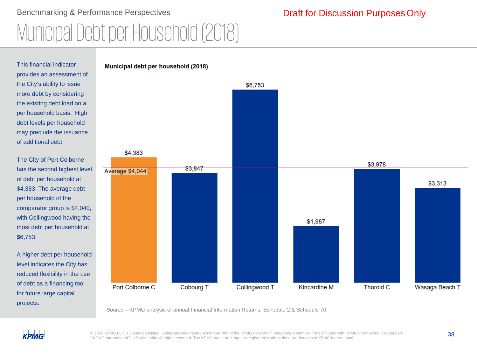# Benchmarking & Performance Perspectives Municipal Debt per Household (2018)

### This financial indicator provides an assessment of the City's ability to issue more debt by considering the existing debt load on a per household basis. High debt levels per household may preclude the issuance of additional debt.

The City of Port Colborne has the second highest level of debt per household at \$4,383. The average debt per household of the comparator group is \$4,040, with Collingwood having the most debt per household at \$6,753.

A higher debt per household level indicates the City has reduced flexibility in the use of debt as a financing tool for future large capital projects.



Source – KPMG analysis of annual Financial Information Returns, Schedule 2 & Schedule 70



© 2020 KPMG LLP, a Canadian limited liability partnership and a member firm of the KPMG network of independent member firms affiliated with KPMG International Cooperative 38 ("KPMG International"), a Swiss entity. All rights reserved. The KPMG name and logo are registered trademarks or trademarks of KPMG International.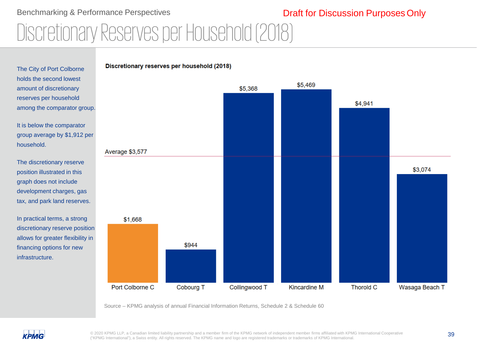### Benchmarking & Performance Perspectives Discretionary Reserves per Household (2018) Draft for Discussion Purposes Only



Source – KPMG analysis of annual Financial Information Returns, Schedule 2 & Schedule 60



© 2020 KPMG LLP, a Canadian limited liability partnership and a member firm of the KPMG network of independent member firms affiliated with KPMG International Cooperative 39 ("KPMG International"), a Swiss entity. All rights reserved. The KPMG name and logo are registered trademarks or trademarks of KPMG International.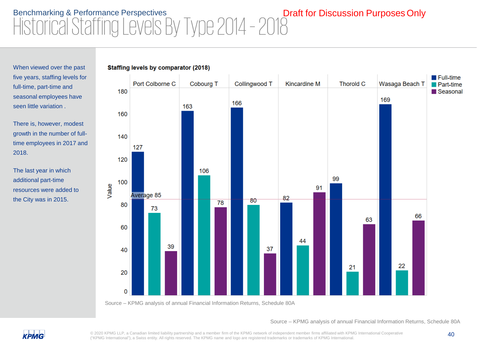# Benchmarking & Performance Perspectives<br>Historical Staffing Levels By Type 2014 - 2018 Draft for Discussion Purposes Only

Staffing levels by comparator (2018)

When viewed over the past five years, staffing levels for full-time, part-time and seasonal employees have seen little variation .

There is, however, modest growth in the number of fulltime employees in 2017 and 2018.

The last year in which additional part-time resources were added to the City was in 2015.



Source – KPMG analysis of annual Financial Information Returns, Schedule 80A

Source – KPMG analysis of annual Financial Information Returns, Schedule 80A



© 2020 KPMG LLP, a Canadian limited liability partnership and a member firm of the KPMG network of independent member firms affiliated with KPMG International Cooperative 40 ("KPMG International"), a Swiss entity. All rights reserved. The KPMG name and logo are registered trademarks or trademarks of KPMG International.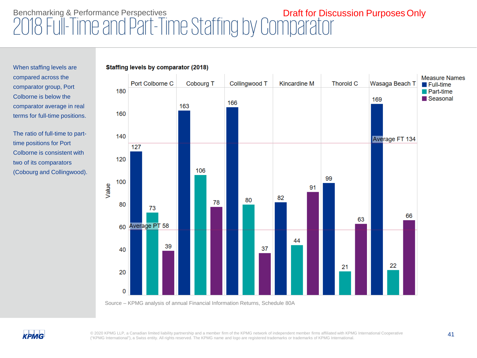# Benchmarking & Performance Perspectives<br>2018 Full-Time and Part-Time Staffing by Comparator

**Staffing levels by comparator (2018)** 

When staffing levels are compared across the comparator group, Port Colborne is below the comparator average in real terms for full-time positions.

The ratio of full-time to parttime positions for Port Colborne is consistent with two of its comparators (Cobourg and Collingwood).



Source – KPMG analysis of annual Financial Information Returns, Schedule 80A



© 2020 KPMG LLP, a Canadian limited liability partnership and a member firm of the KPMG network of independent member firms affiliated with KPMG International Cooperative 41 ("KPMG International"), a Swiss entity. All rights reserved. The KPMG name and logo are registered trademarks or trademarks of KPMG International.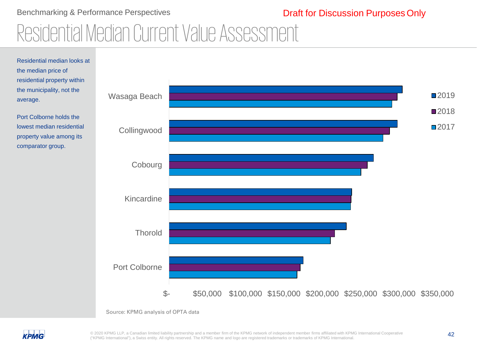### Benchmarking & Performance Perspectives Residential Median Current Value Assessment Draft for Discussion Purposes Only



Source: KPMG analysis of OPTA data



© 2020 KPMG LLP, a Canadian limited liability partnership and a member firm of the KPMG network of independent member firms affiliated with KPMG International Cooperative 42 ("KPMG International"), a Swiss entity. All rights reserved. The KPMG name and logo are registered trademarks or trademarks of KPMG International.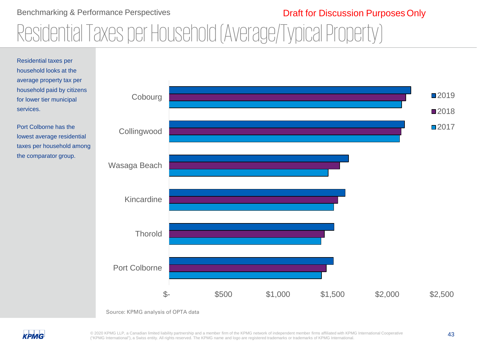### Benchmarking & Performance Perspectives

### Draft for Discussion Purposes Only

# Residential Taxes per Household (Average/Typical Property)







© 2020 KPMG LLP, a Canadian limited liability partnership and a member firm of the KPMG network of independent member firms affiliated with KPMG International Cooperative 43 ("KPMG International"), a Swiss entity. All rights reserved. The KPMG name and logo are registered trademarks or trademarks of KPMG International.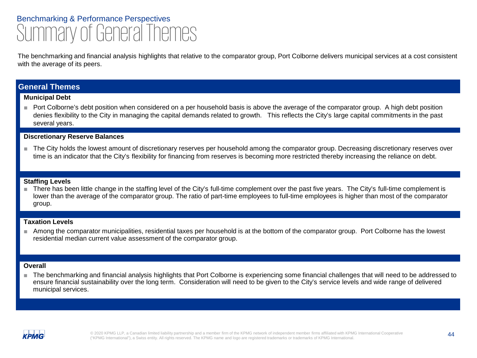## Benchmarking & Performance Perspectives Summary of General Themes

The benchmarking and financial analysis highlights that relative to the comparator group, Port Colborne delivers municipal services at a cost consistent with the average of its peers.

### **General Themes**

### **Municipal Debt**

■ Port Colborne's debt position when considered on a per household basis is above the average of the comparator group. A high debt position denies flexibility to the City in managing the capital demands related to growth. This reflects the City's large capital commitments in the past several years.

### **Discretionary Reserve Balances**

■ The City holds the lowest amount of discretionary reserves per household among the comparator group. Decreasing discretionary reserves over time is an indicator that the City's flexibility for financing from reserves is becoming more restricted thereby increasing the reliance on debt.

### **Staffing Levels**

■ There has been little change in the staffing level of the City's full-time complement over the past five years. The City's full-time complement is lower than the average of the comparator group. The ratio of part-time employees to full-time employees is higher than most of the comparator group.

### **Taxation Levels**

■ Among the comparator municipalities, residential taxes per household is at the bottom of the comparator group. Port Colborne has the lowest residential median current value assessment of the comparator group.

### **Overall**

■ The benchmarking and financial analysis highlights that Port Colborne is experiencing some financial challenges that will need to be addressed to ensure financial sustainability over the long term. Consideration will need to be given to the City's service levels and wide range of delivered municipal services.



© 2020 KPMG LLP, a Canadian limited liability partnership and a member firm of the KPMG network of independent member firms affiliated with KPMG International Cooperative 44 ("KPMG International"), a Swiss entity. All rights reserved. The KPMG name and logo are registered trademarks or trademarks of KPMG International.